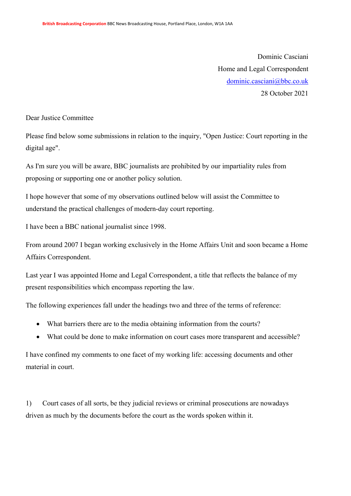Dominic Casciani Home and Legal Correspondent [dominic.casciani@bbc.co.uk](mailto:dominic.casciani@bbc.co.uk) 28 October 2021

Dear Justice Committee

Please find below some submissions in relation to the inquiry, "Open Justice: Court reporting in the digital age".

As I'm sure you will be aware, BBC journalists are prohibited by our impartiality rules from proposing or supporting one or another policy solution.

I hope however that some of my observations outlined below will assist the Committee to understand the practical challenges of modern-day court reporting.

I have been a BBC national journalist since 1998.

From around 2007 I began working exclusively in the Home Affairs Unit and soon became a Home Affairs Correspondent.

Last year I was appointed Home and Legal Correspondent, a title that reflects the balance of my present responsibilities which encompass reporting the law.

The following experiences fall under the headings two and three of the terms of reference:

- What barriers there are to the media obtaining information from the courts?
- What could be done to make information on court cases more transparent and accessible?

I have confined my comments to one facet of my working life: accessing documents and other material in court.

1) Court cases of all sorts, be they judicial reviews or criminal prosecutions are nowadays driven as much by the documents before the court as the words spoken within it.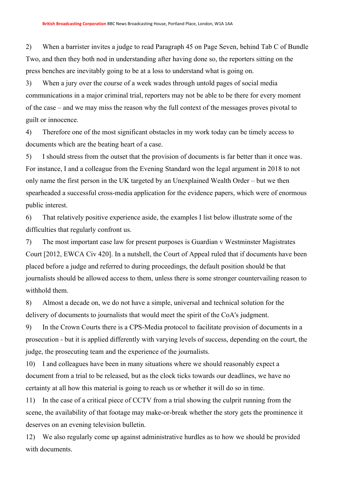2) When a barrister invites a judge to read Paragraph 45 on Page Seven, behind Tab C of Bundle Two, and then they both nod in understanding after having done so, the reporters sitting on the press benches are inevitably going to be at a loss to understand what is going on.

3) When a jury over the course of a week wades through untold pages of social media communications in a major criminal trial, reporters may not be able to be there for every moment of the case – and we may miss the reason why the full context of the messages proves pivotal to guilt or innocence.

4) Therefore one of the most significant obstacles in my work today can be timely access to documents which are the beating heart of a case.

5) I should stress from the outset that the provision of documents is far better than it once was. For instance, I and a colleague from the Evening Standard won the legal argument in 2018 to not only name the first person in the UK targeted by an Unexplained Wealth Order – but we then spearheaded a successful cross-media application for the evidence papers, which were of enormous public interest.

6) That relatively positive experience aside, the examples I list below illustrate some of the difficulties that regularly confront us.

7) The most important case law for present purposes is Guardian v Westminster Magistrates Court [2012, EWCA Civ 420]. In a nutshell, the Court of Appeal ruled that if documents have been placed before a judge and referred to during proceedings, the default position should be that journalists should be allowed access to them, unless there is some stronger countervailing reason to withhold them.

8) Almost a decade on, we do not have a simple, universal and technical solution for the delivery of documents to journalists that would meet the spirit of the CoA's judgment.

9) In the Crown Courts there is a CPS-Media protocol to facilitate provision of documents in a prosecution - but it is applied differently with varying levels of success, depending on the court, the judge, the prosecuting team and the experience of the journalists.

10) I and colleagues have been in many situations where we should reasonably expect a document from a trial to be released, but as the clock ticks towards our deadlines, we have no certainty at all how this material is going to reach us or whether it will do so in time.

11) In the case of a critical piece of CCTV from a trial showing the culprit running from the scene, the availability of that footage may make-or-break whether the story gets the prominence it deserves on an evening television bulletin.

12) We also regularly come up against administrative hurdles as to how we should be provided with documents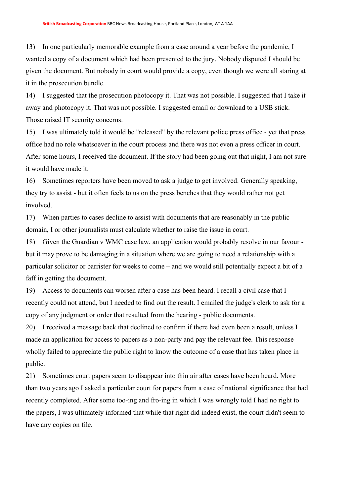13) In one particularly memorable example from a case around a year before the pandemic, I wanted a copy of a document which had been presented to the jury. Nobody disputed I should be given the document. But nobody in court would provide a copy, even though we were all staring at it in the prosecution bundle.

14) I suggested that the prosecution photocopy it. That was not possible. I suggested that I take it away and photocopy it. That was not possible. I suggested email or download to a USB stick. Those raised IT security concerns.

15) I was ultimately told it would be "released" by the relevant police press office - yet that press office had no role whatsoever in the court process and there was not even a press officer in court. After some hours, I received the document. If the story had been going out that night, I am not sure it would have made it.

16) Sometimes reporters have been moved to ask a judge to get involved. Generally speaking, they try to assist - but it often feels to us on the press benches that they would rather not get involved.

17) When parties to cases decline to assist with documents that are reasonably in the public domain, I or other journalists must calculate whether to raise the issue in court.

18) Given the Guardian v WMC case law, an application would probably resolve in our favour but it may prove to be damaging in a situation where we are going to need a relationship with a particular solicitor or barrister for weeks to come – and we would still potentially expect a bit of a faff in getting the document.

19) Access to documents can worsen after a case has been heard. I recall a civil case that I recently could not attend, but I needed to find out the result. I emailed the judge's clerk to ask for a copy of any judgment or order that resulted from the hearing - public documents.

20) I received a message back that declined to confirm if there had even been a result, unless I made an application for access to papers as a non-party and pay the relevant fee. This response wholly failed to appreciate the public right to know the outcome of a case that has taken place in public.

21) Sometimes court papers seem to disappear into thin air after cases have been heard. More than two years ago I asked a particular court for papers from a case of national significance that had recently completed. After some too-ing and fro-ing in which I was wrongly told I had no right to the papers, I was ultimately informed that while that right did indeed exist, the court didn't seem to have any copies on file.